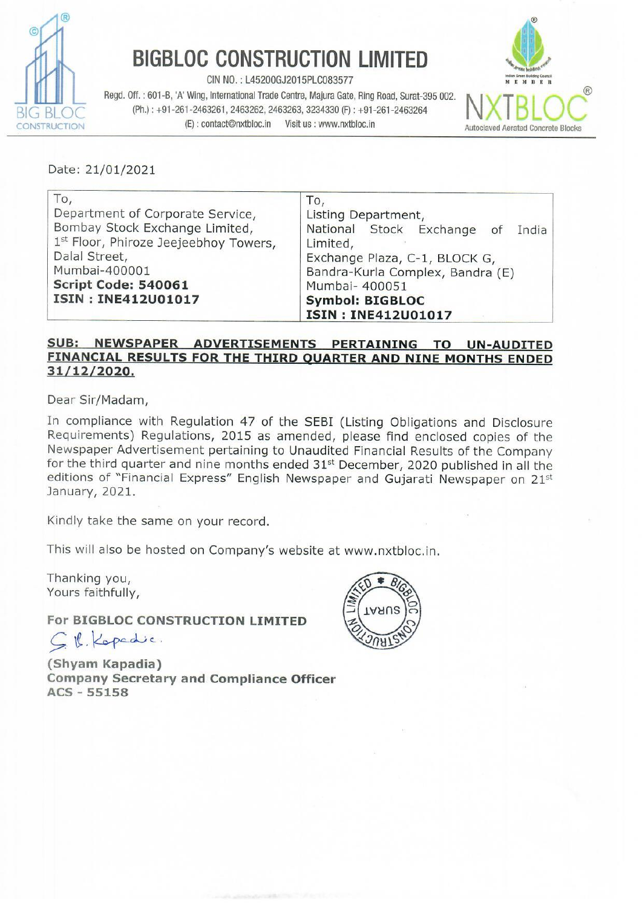

## BIGBLOC CONSTRUCTION LIMITED

CIN NO. : L45200GJ2015PLC083577

Regd. Off. : 601-B, 'A' Wing, International Trade Centre, Majura Gate, Ring Road, Surat-395 002.  $\overline{B}$  BLOC Rega. Off. : 601-8, A' wing, international Trade Centre, Majura Gate, Ring Road, Surat-395 002.<br>BIG BLOC (Ph.) : +91-261-2463261, 2463262, 2463263, 3234330 (F) : +91-261-2463264 (Ph.) : +91-261-2463264 (Ph.) **BIGBLOC CONSTRU**<br>
Regd. Off. : 601-B, 'A' Wing, International Trade Centre<br>
(Ph.) : +91-261-2463261, 2463262, 2463263<br>
(E) : contact@nxtbloc.in Visit<br>
Date: 21/01/2021



Date: 21/01/2021

| To,                                   | To,                              |  |  |  |  |  |  |
|---------------------------------------|----------------------------------|--|--|--|--|--|--|
| Department of Corporate Service,      | Listing Department,              |  |  |  |  |  |  |
| Bombay Stock Exchange Limited,        | National Stock Exchange of India |  |  |  |  |  |  |
| 1st Floor, Phiroze Jeejeebhoy Towers, | Limited,                         |  |  |  |  |  |  |
| Dalal Street,                         | Exchange Plaza, C-1, BLOCK G,    |  |  |  |  |  |  |
| Mumbai-400001                         | Bandra-Kurla Complex, Bandra (E) |  |  |  |  |  |  |
| Script Code: 540061                   | Mumbai- 400051                   |  |  |  |  |  |  |
| ISIN: INE412U01017                    | <b>Symbol: BIGBLOC</b>           |  |  |  |  |  |  |
|                                       | <b>ISIN: INE412U01017</b>        |  |  |  |  |  |  |

## SUB: \_NEWSPAPER \_ADVERTISEMENTS \_PERTAINING TO \_UN-AUDITED FINANCIAL RESULTS FOR THE THIRD QUARTER AND NINE MONTHS ENDED 31/12/2020.

Dear Sir/Madam,

In compliance with Regulation 47 of the SEBI (Listing Obligations and Disclosure Requirements) Regulations, 2015 as amended, please find enclosed copies of the Newspaper Advertisement pertaining to Unaudited Financial Results of the Company for the third quarter and nine months ended  $31<sup>st</sup>$  December, 2020 published in all the editions of "Financial Express" English Newspaper and Gujarati Newspaper on 21st January, 2021.

Kindly take the same on your record.

This will also be hosted on Company's website at www.nxtbloc.in.

Thanking you, Yours faithfully,

For BIGBLOC CONSTRUCTION LIMITED

CW kepede.

 $1H$  $H$ 

(Shyam Kapadia) Company Secretary and Compliance Officer ACS - 55158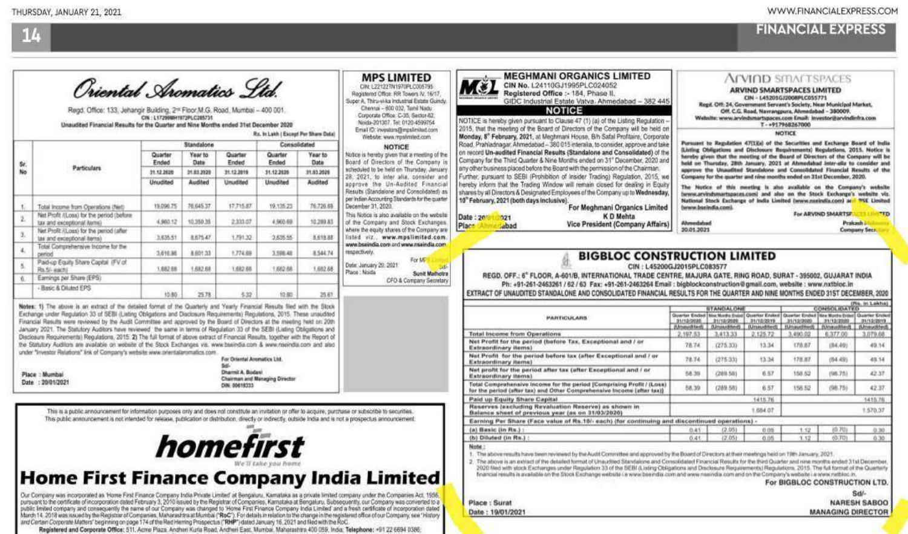Sd/-

**NARESH SABOO** MANAGING DIRECTOR



|         | Oriental Aromatics Std<br>Regd. Office: 133. Jehangir Building. 2st Floor M.G. Road. Mumbai - 400 001.<br>Unaudited Financial Results for the Quarter and Nine Months ended 31st December 2020                                                                   | CIN: L17299MH1972PLC285731 |                                           |                                                                                                                                                                    | Rs. In Lakh ( Except Per Share Data)                                       |                 | <b>MPS LIMITED</b><br>MC).<br>CIN: L22122TN1970PLC005795<br>Registered Office: RR Towers AV, 16/17<br>Super A. Thirp-sl-ka industrial Estate Guindy.<br>Chennai - 600 032, Tarril Nadu<br>Corporate Office: C-35, Sactor-62.<br>Noida-201307. Tel: 0120-4599754<br>Email ID: investors Greenlinited com<br>Webste www.mpsimiled.com | <b>MEGHMANI ORGANICS LIMITED</b><br>CIN No. 1.24110GJ1995PLC024052<br>Registered Office :- 184, Phase II.<br>GIDC Industrial Estate Vatva, Ahmedabad - 382 445<br><b>NOTICE</b><br>NOTICE is hereby given pursuant to Clause 47 (1) (a) of the Listing Regulation -<br>2015, that the meeting of the Board of Directors of the Company will be held on<br>Monday, 8 <sup>°</sup> February, 2021, at Mechmani House, B/h Safal Profitaire, Corporate                                                                                                                                                                                                               |                                                                                                                                                                                                                                                                                                                                                                                                                                                                                                                                                                                                                                                                                                                                                                                                                                                                                                                                                                                                                                                                                                                                                                                                                                                                                                                                                                                                                                                                                                                                                                                                                                                                                                                                                   |  |                                                                                                                                                                                                                                                                                         |                                                                                                                                                                                                                                                                                                                |                               |  |
|---------|------------------------------------------------------------------------------------------------------------------------------------------------------------------------------------------------------------------------------------------------------------------|----------------------------|-------------------------------------------|--------------------------------------------------------------------------------------------------------------------------------------------------------------------|----------------------------------------------------------------------------|-----------------|-------------------------------------------------------------------------------------------------------------------------------------------------------------------------------------------------------------------------------------------------------------------------------------------------------------------------------------|-------------------------------------------------------------------------------------------------------------------------------------------------------------------------------------------------------------------------------------------------------------------------------------------------------------------------------------------------------------------------------------------------------------------------------------------------------------------------------------------------------------------------------------------------------------------------------------------------------------------------------------------------------------------|---------------------------------------------------------------------------------------------------------------------------------------------------------------------------------------------------------------------------------------------------------------------------------------------------------------------------------------------------------------------------------------------------------------------------------------------------------------------------------------------------------------------------------------------------------------------------------------------------------------------------------------------------------------------------------------------------------------------------------------------------------------------------------------------------------------------------------------------------------------------------------------------------------------------------------------------------------------------------------------------------------------------------------------------------------------------------------------------------------------------------------------------------------------------------------------------------------------------------------------------------------------------------------------------------------------------------------------------------------------------------------------------------------------------------------------------------------------------------------------------------------------------------------------------------------------------------------------------------------------------------------------------------------------------------------------------------------------------------------------------------|--|-----------------------------------------------------------------------------------------------------------------------------------------------------------------------------------------------------------------------------------------------------------------------------------------|----------------------------------------------------------------------------------------------------------------------------------------------------------------------------------------------------------------------------------------------------------------------------------------------------------------|-------------------------------|--|
|         |                                                                                                                                                                                                                                                                  |                            | Standalone                                |                                                                                                                                                                    |                                                                            | Consolidated    |                                                                                                                                                                                                                                                                                                                                     | Road, Prahladnagar, Ahmedabad - 380 015 interalia, to consider, approve and take                                                                                                                                                                                                                                                                                                                                                                                                                                                                                                                                                                                  | Website: www.arvindsmartsgaces.com Email: investor@arvindinfra.com<br>T-+917968267000<br>NOTICE<br>Pursuant to Regulation 47(1)(a) of the Societties and Exchange Board of India<br>Listing Obligations and Disclosure Requirements) Regulations, 2015. Notice is<br>hareby given that the mosting of the Board of Directors of the Company will be<br>held on Thursday, 28th January, 2021 at Ahmodahad Inter-ells to consider and<br>Company for the quarter and nine months ended on 31st December, 2020.<br>The Notice of this meeting is also available on the Company's website<br>lwww.arvindsmartspaces.com) and also on the Stock Exchange's website viz.<br>National Stock Exchange of India Limited (www.neeindia.com) at 95E Limited<br>beww.busindia.com).<br>Ahmedabad<br>30.01.2021<br><b>BIGBLOC CONSTRUCTION LIMITED</b><br>CIN: L45200GJ2015PLC083577<br>REGD, OFF.; 6" FLOOR, A-601/B, INTERNATIONAL TRADE CENTRE, MAJURA GATE, RING ROAD, SURAT - 395002, GUJARAT INDIA<br>Ph: +91-261-2463261 / 62 / 63 Fax: +91-261-2463264 Email : bigblockconstruction@gmail.com, website : www.nxtbloc.in<br>EXTRACT OF UNAUDITED STANDALONE AND CONSOLIDATED FINANCIAL RESULTS FOR THE QUARTER AND NINE MONTHS ENDED 31ST DECEMBER, 2020<br><b>STANDALONE</b><br>Quarter Ended His North Estat Querter Ended Quarter Ended North His Moth Elist Quarter Ender<br>31/12/2020 31/12/2020<br>(Unaudited) (Unaudited) (Unaudited) (Unaudited) (Unaudited) (Unaudited<br>2,197.53<br>2.125.72<br>3.490.02<br>3.413.33<br>78.74<br>170.87<br>(275.33)<br>13.34<br>78.74<br>(275.33)<br>13.34<br>178.87<br>58.39<br>(289.58)<br>6.57<br>158.52<br>6.57<br>58.39<br>(289.58)<br>158.52<br>1415.76<br>1,684.07<br>12.051<br>0.05<br>1.12<br>0.41 |  |                                                                                                                                                                                                                                                                                         |                                                                                                                                                                                                                                                                                                                |                               |  |
| Sr.     |                                                                                                                                                                                                                                                                  | Quarter<br>Ended           | Year to<br>Date                           | Quarter<br>Ended                                                                                                                                                   | Quarter<br>Ended                                                           | Year to<br>Date | Notice is hereby given that a meeting of the<br>Board of Directors of the Company is                                                                                                                                                                                                                                                | on record Un-audited Financial Results (Standalone and Consolidated) of the<br>Company for the Third Quarter & Nine Months ended on 31" December, 2020 and                                                                                                                                                                                                                                                                                                                                                                                                                                                                                                        |                                                                                                                                                                                                                                                                                                                                                                                                                                                                                                                                                                                                                                                                                                                                                                                                                                                                                                                                                                                                                                                                                                                                                                                                                                                                                                                                                                                                                                                                                                                                                                                                                                                                                                                                                   |  |                                                                                                                                                                                                                                                                                         |                                                                                                                                                                                                                                                                                                                |                               |  |
| No<br>ä | Particulars<br>31.12.2020<br>31.63.2020<br>31.12.2019<br>31.12.2020<br>31.83.2020                                                                                                                                                                                |                            | acheduled to be held on Thursday. Jimuary | any other business placed before the Board with the permission of the Chairman.<br>Further, pursuant to SEBI (Prohibition of Insider Trading) Regulation, 2015, we | approve the Unaudited Standalone and Consolidated Financial Results of the |                 |                                                                                                                                                                                                                                                                                                                                     |                                                                                                                                                                                                                                                                                                                                                                                                                                                                                                                                                                                                                                                                   |                                                                                                                                                                                                                                                                                                                                                                                                                                                                                                                                                                                                                                                                                                                                                                                                                                                                                                                                                                                                                                                                                                                                                                                                                                                                                                                                                                                                                                                                                                                                                                                                                                                                                                                                                   |  |                                                                                                                                                                                                                                                                                         |                                                                                                                                                                                                                                                                                                                |                               |  |
|         |                                                                                                                                                                                                                                                                  | Unudited                   | Audited                                   | Unudited                                                                                                                                                           | <b>Unudited</b>                                                            | Audited         | 28. 2021, to inter alia, consider and<br>approve the Un-Audited Financial                                                                                                                                                                                                                                                           | hereby inform that the Trading Window will remain closed for dealing in Equity                                                                                                                                                                                                                                                                                                                                                                                                                                                                                                                                                                                    |                                                                                                                                                                                                                                                                                                                                                                                                                                                                                                                                                                                                                                                                                                                                                                                                                                                                                                                                                                                                                                                                                                                                                                                                                                                                                                                                                                                                                                                                                                                                                                                                                                                                                                                                                   |  |                                                                                                                                                                                                                                                                                         |                                                                                                                                                                                                                                                                                                                |                               |  |
|         | Total Income from Operations (Net)                                                                                                                                                                                                                               | 19,096.75                  | 76,645.37                                 | 17.715.87                                                                                                                                                          | 19.135.23                                                                  | 76,726.69       | Results (Standalone and Consolidated) as<br>per Indian Accounting Standards for the quarter                                                                                                                                                                                                                                         | shares by all Directors & Designated Employees of the Company up to Wednesday,<br>10" February, 2021 (both days inclusive).<br>For Meghmani Organics Limited                                                                                                                                                                                                                                                                                                                                                                                                                                                                                                      |                                                                                                                                                                                                                                                                                                                                                                                                                                                                                                                                                                                                                                                                                                                                                                                                                                                                                                                                                                                                                                                                                                                                                                                                                                                                                                                                                                                                                                                                                                                                                                                                                                                                                                                                                   |  |                                                                                                                                                                                                                                                                                         |                                                                                                                                                                                                                                                                                                                |                               |  |
|         | Net Profit (Loss) for the period (before                                                                                                                                                                                                                         |                            |                                           |                                                                                                                                                                    |                                                                            |                 | This Notice is also available on the website<br>Date : 201                                                                                                                                                                                                                                                                          | K D Mehta<br>$21$                                                                                                                                                                                                                                                                                                                                                                                                                                                                                                                                                                                                                                                 |                                                                                                                                                                                                                                                                                                                                                                                                                                                                                                                                                                                                                                                                                                                                                                                                                                                                                                                                                                                                                                                                                                                                                                                                                                                                                                                                                                                                                                                                                                                                                                                                                                                                                                                                                   |  |                                                                                                                                                                                                                                                                                         | For ARVIND SMARTSP.<br><b>TELLING TED</b><br>Prakash i/l<br>Company Secr.<br>(Fig. In Labba)<br><b>CONSOLIDATED</b><br>31/12/2019<br>6,377.00<br>3.079.68<br>49.14<br>(04.40)<br>(64,49)<br>48.14<br>(58.75)<br>42.37<br>(98.75).<br>42.37<br>1415.76<br>1.570.37<br>60.701<br>0.30<br>60.701<br>7.32.<br>0.30 |                               |  |
|         | tax and exceptional terms)<br>Net Profit (Loss) for the period (after                                                                                                                                                                                            | 4,960.12                   | 10,350.35                                 | 2,333.07                                                                                                                                                           | 4,960.69                                                                   | 10,289.83       | of the Company and Stock Exchanges.<br>Plac <sup>+</sup><br>where the equity shares of the Company are                                                                                                                                                                                                                              | Vice President (Company Affairs)<br>abad                                                                                                                                                                                                                                                                                                                                                                                                                                                                                                                                                                                                                          |                                                                                                                                                                                                                                                                                                                                                                                                                                                                                                                                                                                                                                                                                                                                                                                                                                                                                                                                                                                                                                                                                                                                                                                                                                                                                                                                                                                                                                                                                                                                                                                                                                                                                                                                                   |  |                                                                                                                                                                                                                                                                                         |                                                                                                                                                                                                                                                                                                                |                               |  |
|         | tax and exceptional terral                                                                                                                                                                                                                                       | 3,635.51                   | 8.675.47                                  | 1.791.32                                                                                                                                                           | 3,655.55                                                                   | 8,619.88        | listed viz., www.mpslimited.com.                                                                                                                                                                                                                                                                                                    |                                                                                                                                                                                                                                                                                                                                                                                                                                                                                                                                                                                                                                                                   |                                                                                                                                                                                                                                                                                                                                                                                                                                                                                                                                                                                                                                                                                                                                                                                                                                                                                                                                                                                                                                                                                                                                                                                                                                                                                                                                                                                                                                                                                                                                                                                                                                                                                                                                                   |  |                                                                                                                                                                                                                                                                                         |                                                                                                                                                                                                                                                                                                                |                               |  |
|         | Total Comprehensive Income for the<br>period                                                                                                                                                                                                                     | 3,616.98                   | 8.601.33                                  | 1,774.69                                                                                                                                                           | 3,598.48                                                                   | 8.544.74        | www.bseindia.com and www.nseindia.com                                                                                                                                                                                                                                                                                               |                                                                                                                                                                                                                                                                                                                                                                                                                                                                                                                                                                                                                                                                   |                                                                                                                                                                                                                                                                                                                                                                                                                                                                                                                                                                                                                                                                                                                                                                                                                                                                                                                                                                                                                                                                                                                                                                                                                                                                                                                                                                                                                                                                                                                                                                                                                                                                                                                                                   |  |                                                                                                                                                                                                                                                                                         |                                                                                                                                                                                                                                                                                                                |                               |  |
|         | Paid-up Equity Share Capital IFV of<br>Rs.Si-aachi                                                                                                                                                                                                               | 1,682.68                   | 1,682.68                                  | 1,692.65                                                                                                                                                           | 1,662.68                                                                   | 1,682.68        | For Mr.<br><b>Setti</b>                                                                                                                                                                                                                                                                                                             |                                                                                                                                                                                                                                                                                                                                                                                                                                                                                                                                                                                                                                                                   |                                                                                                                                                                                                                                                                                                                                                                                                                                                                                                                                                                                                                                                                                                                                                                                                                                                                                                                                                                                                                                                                                                                                                                                                                                                                                                                                                                                                                                                                                                                                                                                                                                                                                                                                                   |  |                                                                                                                                                                                                                                                                                         |                                                                                                                                                                                                                                                                                                                |                               |  |
|         | Earnings per Share (EPS)                                                                                                                                                                                                                                         |                            |                                           |                                                                                                                                                                    |                                                                            |                 | <b>Sunit Mathotra</b><br>CFD & Company Secretary                                                                                                                                                                                                                                                                                    |                                                                                                                                                                                                                                                                                                                                                                                                                                                                                                                                                                                                                                                                   |                                                                                                                                                                                                                                                                                                                                                                                                                                                                                                                                                                                                                                                                                                                                                                                                                                                                                                                                                                                                                                                                                                                                                                                                                                                                                                                                                                                                                                                                                                                                                                                                                                                                                                                                                   |  |                                                                                                                                                                                                                                                                                         |                                                                                                                                                                                                                                                                                                                |                               |  |
|         | - Basic & Diluted EPS                                                                                                                                                                                                                                            | 10:85                      | 25.78                                     | 5.32                                                                                                                                                               | 10.95                                                                      | 25.61           |                                                                                                                                                                                                                                                                                                                                     |                                                                                                                                                                                                                                                                                                                                                                                                                                                                                                                                                                                                                                                                   |                                                                                                                                                                                                                                                                                                                                                                                                                                                                                                                                                                                                                                                                                                                                                                                                                                                                                                                                                                                                                                                                                                                                                                                                                                                                                                                                                                                                                                                                                                                                                                                                                                                                                                                                                   |  |                                                                                                                                                                                                                                                                                         |                                                                                                                                                                                                                                                                                                                |                               |  |
|         | Notes: 1) The above is an extract of the detailed format of the Quarterly and Yearly Financial Results filed with the Stock                                                                                                                                      |                            |                                           |                                                                                                                                                                    |                                                                            |                 |                                                                                                                                                                                                                                                                                                                                     |                                                                                                                                                                                                                                                                                                                                                                                                                                                                                                                                                                                                                                                                   |                                                                                                                                                                                                                                                                                                                                                                                                                                                                                                                                                                                                                                                                                                                                                                                                                                                                                                                                                                                                                                                                                                                                                                                                                                                                                                                                                                                                                                                                                                                                                                                                                                                                                                                                                   |  |                                                                                                                                                                                                                                                                                         |                                                                                                                                                                                                                                                                                                                |                               |  |
|         | Exchange under Regulation 33 of SEBI (Listing Obligations and Disclosure Requirements) Regulations, 2015. These unaudited<br>Financial Results were reviewed by the Audit Committee and approved by the Board of Directors at the meeting held on 20th           |                            |                                           |                                                                                                                                                                    |                                                                            |                 |                                                                                                                                                                                                                                                                                                                                     | <b><i><i><u>FARTICULARS</u></i></i></b>                                                                                                                                                                                                                                                                                                                                                                                                                                                                                                                                                                                                                           |                                                                                                                                                                                                                                                                                                                                                                                                                                                                                                                                                                                                                                                                                                                                                                                                                                                                                                                                                                                                                                                                                                                                                                                                                                                                                                                                                                                                                                                                                                                                                                                                                                                                                                                                                   |  |                                                                                                                                                                                                                                                                                         |                                                                                                                                                                                                                                                                                                                |                               |  |
|         | January 2021. The Statutory Auditors have reviewed 'the same in terms of Regulation 33 of the SEBI (Listing Obligations and<br>Disclosure Requirements) Regulations, 2015. 23 The full format of above extract of Financial Regults, together with the Region of |                            |                                           |                                                                                                                                                                    |                                                                            |                 |                                                                                                                                                                                                                                                                                                                                     | <b>Total Income from Operations</b>                                                                                                                                                                                                                                                                                                                                                                                                                                                                                                                                                                                                                               |                                                                                                                                                                                                                                                                                                                                                                                                                                                                                                                                                                                                                                                                                                                                                                                                                                                                                                                                                                                                                                                                                                                                                                                                                                                                                                                                                                                                                                                                                                                                                                                                                                                                                                                                                   |  | <b>ACVIOD STRACTSPACES</b><br><b>ARVIND SMARTSPACES LIMITED</b><br>CIN - L45201GJ2008PLC055771<br>Regd. Off: 24. Government Servant's Society, Near Municipal Market.<br>Off. C.G. Road, Navrancoura, Alumedabad - 380009.<br>$-31/12/2019$ $31/12/2000$ $31/12/2020$<br>(2.05)<br>0.06 |                                                                                                                                                                                                                                                                                                                |                               |  |
|         | the Statutory Auditors are available on website of the Stock Exchanges vis. www.bssindia.com & www.masindia.com and also<br>under "Investor Ralations" link of Company's website www.prientalaromatics.com                                                       |                            |                                           |                                                                                                                                                                    |                                                                            |                 | <b>Extraordinary items)</b>                                                                                                                                                                                                                                                                                                         | Net Profit for the period (before Tax, Exceptional and / or                                                                                                                                                                                                                                                                                                                                                                                                                                                                                                                                                                                                       |                                                                                                                                                                                                                                                                                                                                                                                                                                                                                                                                                                                                                                                                                                                                                                                                                                                                                                                                                                                                                                                                                                                                                                                                                                                                                                                                                                                                                                                                                                                                                                                                                                                                                                                                                   |  |                                                                                                                                                                                                                                                                                         |                                                                                                                                                                                                                                                                                                                |                               |  |
|         |                                                                                                                                                                                                                                                                  |                            |                                           | For Oriental Aromatics Ltd.                                                                                                                                        |                                                                            |                 | Extraordinary items)                                                                                                                                                                                                                                                                                                                | Not Profit for the period before tax (after Exceptional and / or                                                                                                                                                                                                                                                                                                                                                                                                                                                                                                                                                                                                  |                                                                                                                                                                                                                                                                                                                                                                                                                                                                                                                                                                                                                                                                                                                                                                                                                                                                                                                                                                                                                                                                                                                                                                                                                                                                                                                                                                                                                                                                                                                                                                                                                                                                                                                                                   |  |                                                                                                                                                                                                                                                                                         |                                                                                                                                                                                                                                                                                                                |                               |  |
|         | Place : Mumbai                                                                                                                                                                                                                                                   |                            |                                           | Dharmil A. Bodani                                                                                                                                                  | Chairman and Managing Director                                             |                 | Estraordinary items)                                                                                                                                                                                                                                                                                                                | Net profit for the period after tax (after Exceptional and / or                                                                                                                                                                                                                                                                                                                                                                                                                                                                                                                                                                                                   |                                                                                                                                                                                                                                                                                                                                                                                                                                                                                                                                                                                                                                                                                                                                                                                                                                                                                                                                                                                                                                                                                                                                                                                                                                                                                                                                                                                                                                                                                                                                                                                                                                                                                                                                                   |  |                                                                                                                                                                                                                                                                                         |                                                                                                                                                                                                                                                                                                                |                               |  |
|         | Date : 20/01/2021                                                                                                                                                                                                                                                |                            |                                           | <b>DIN: 00018333</b>                                                                                                                                               |                                                                            |                 |                                                                                                                                                                                                                                                                                                                                     | Total Comprehensive Income for the period (Comprising Profit / (Loss)<br>for the period (after tax) and Other Comprehensive Income (after tax))                                                                                                                                                                                                                                                                                                                                                                                                                                                                                                                   |                                                                                                                                                                                                                                                                                                                                                                                                                                                                                                                                                                                                                                                                                                                                                                                                                                                                                                                                                                                                                                                                                                                                                                                                                                                                                                                                                                                                                                                                                                                                                                                                                                                                                                                                                   |  |                                                                                                                                                                                                                                                                                         |                                                                                                                                                                                                                                                                                                                |                               |  |
|         |                                                                                                                                                                                                                                                                  |                            |                                           |                                                                                                                                                                    |                                                                            |                 |                                                                                                                                                                                                                                                                                                                                     | Paid up Equity Share Capital                                                                                                                                                                                                                                                                                                                                                                                                                                                                                                                                                                                                                                      |                                                                                                                                                                                                                                                                                                                                                                                                                                                                                                                                                                                                                                                                                                                                                                                                                                                                                                                                                                                                                                                                                                                                                                                                                                                                                                                                                                                                                                                                                                                                                                                                                                                                                                                                                   |  |                                                                                                                                                                                                                                                                                         |                                                                                                                                                                                                                                                                                                                |                               |  |
|         | This is a public announcement for information purposes only and does not constitute an invitation or offer to acquire, purchase or subscribe to securities.                                                                                                      |                            |                                           |                                                                                                                                                                    |                                                                            |                 |                                                                                                                                                                                                                                                                                                                                     | Reserves (excluding Revaluation Reserve) as shown in<br>Balance sheet of previous year (as on 31/03/2020)                                                                                                                                                                                                                                                                                                                                                                                                                                                                                                                                                         |                                                                                                                                                                                                                                                                                                                                                                                                                                                                                                                                                                                                                                                                                                                                                                                                                                                                                                                                                                                                                                                                                                                                                                                                                                                                                                                                                                                                                                                                                                                                                                                                                                                                                                                                                   |  |                                                                                                                                                                                                                                                                                         |                                                                                                                                                                                                                                                                                                                |                               |  |
|         | This public announcement is not intended for release, publication or distribution, directly or indirectly, outside India and is not a prospectus announcement                                                                                                    |                            |                                           |                                                                                                                                                                    |                                                                            |                 |                                                                                                                                                                                                                                                                                                                                     | Earning Per Share (Face value of Rs.10) each) (for continuing and discontinued operations) -                                                                                                                                                                                                                                                                                                                                                                                                                                                                                                                                                                      |                                                                                                                                                                                                                                                                                                                                                                                                                                                                                                                                                                                                                                                                                                                                                                                                                                                                                                                                                                                                                                                                                                                                                                                                                                                                                                                                                                                                                                                                                                                                                                                                                                                                                                                                                   |  |                                                                                                                                                                                                                                                                                         |                                                                                                                                                                                                                                                                                                                |                               |  |
|         |                                                                                                                                                                                                                                                                  |                            |                                           |                                                                                                                                                                    |                                                                            |                 | (a) Basic (in Rs.) :<br>(b) Diluted (in Rs.)                                                                                                                                                                                                                                                                                        |                                                                                                                                                                                                                                                                                                                                                                                                                                                                                                                                                                                                                                                                   | 0.41                                                                                                                                                                                                                                                                                                                                                                                                                                                                                                                                                                                                                                                                                                                                                                                                                                                                                                                                                                                                                                                                                                                                                                                                                                                                                                                                                                                                                                                                                                                                                                                                                                                                                                                                              |  |                                                                                                                                                                                                                                                                                         |                                                                                                                                                                                                                                                                                                                |                               |  |
|         | Home First Finance Company India Limited                                                                                                                                                                                                                         |                            |                                           |                                                                                                                                                                    | homefirst                                                                  |                 | Note:                                                                                                                                                                                                                                                                                                                               | 1. The above results have been reviewed by the Audit Committee and approved by the Board of Directors at their meetings held on 19th January, 2021.<br>2. The above is an axiract of the detailed format of Unaudited Standalone and Consolidated Financial Results for the third Quarter and nine months ended 31st December<br>2020 filed with stock Exchanges under Regulation 33 of the SEBI (Listing Obligations and Disclosure Requirements) Regulations. 2015. The full format of the Quarterly<br>financial results is available on the Stock Exchange website i.e www.bseindia.com and www.nssindia.com and on the Company's website i.e www.netbloc.in. |                                                                                                                                                                                                                                                                                                                                                                                                                                                                                                                                                                                                                                                                                                                                                                                                                                                                                                                                                                                                                                                                                                                                                                                                                                                                                                                                                                                                                                                                                                                                                                                                                                                                                                                                                   |  |                                                                                                                                                                                                                                                                                         |                                                                                                                                                                                                                                                                                                                | For BIGBLOC CONSTRUCTION LTD. |  |

Place : Surat

Date: 19/01/2021

Our Company was incorporated as Home First Finance Company India Primes ut Bengalous, Kanadasa as prevale initial company under the Companies Act, 1996,<br>[Poster Primes Company of Company International Company and Daraway E